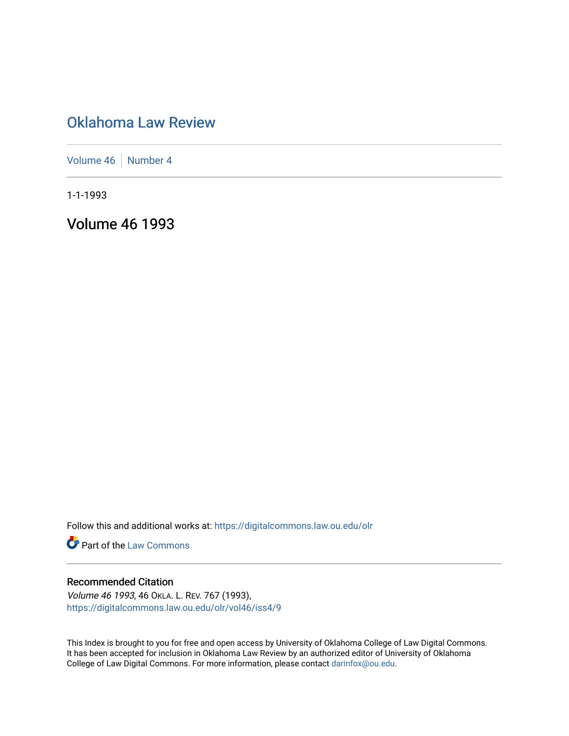# [Oklahoma Law Review](https://digitalcommons.law.ou.edu/olr)

[Volume 46](https://digitalcommons.law.ou.edu/olr/vol46) [Number 4](https://digitalcommons.law.ou.edu/olr/vol46/iss4)

1-1-1993

Volume 46 1993

Follow this and additional works at: [https://digitalcommons.law.ou.edu/olr](https://digitalcommons.law.ou.edu/olr?utm_source=digitalcommons.law.ou.edu%2Folr%2Fvol46%2Fiss4%2F9&utm_medium=PDF&utm_campaign=PDFCoverPages)

**Part of the [Law Commons](http://network.bepress.com/hgg/discipline/578?utm_source=digitalcommons.law.ou.edu%2Folr%2Fvol46%2Fiss4%2F9&utm_medium=PDF&utm_campaign=PDFCoverPages)** 

## Recommended Citation

Volume 46 1993, 46 OKLA. L. REV. 767 (1993), [https://digitalcommons.law.ou.edu/olr/vol46/iss4/9](https://digitalcommons.law.ou.edu/olr/vol46/iss4/9?utm_source=digitalcommons.law.ou.edu%2Folr%2Fvol46%2Fiss4%2F9&utm_medium=PDF&utm_campaign=PDFCoverPages) 

This Index is brought to you for free and open access by University of Oklahoma College of Law Digital Commons. It has been accepted for inclusion in Oklahoma Law Review by an authorized editor of University of Oklahoma College of Law Digital Commons. For more information, please contact [darinfox@ou.edu.](mailto:darinfox@ou.edu)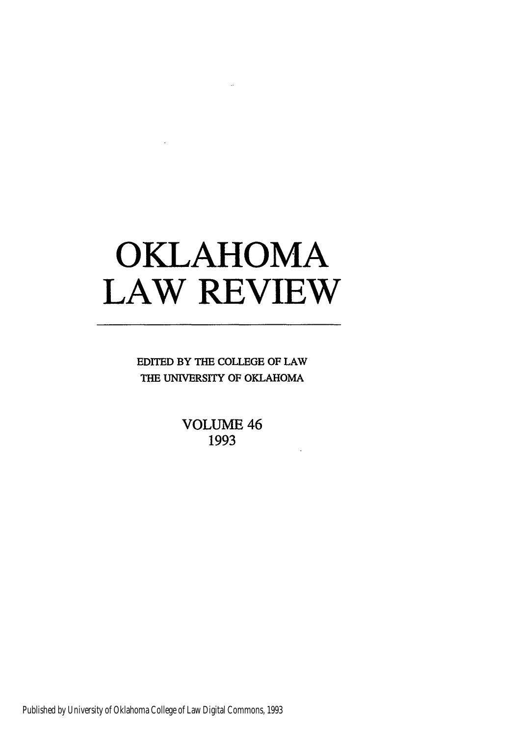# **OKLAHOMA LAW REVIEW**

EDITED BY THE **COLLEGE** OF LAW THE UNIVERSITY OF OKLAHOMA

> **VOLUME** 46 **1993**

Published by University of Oklahoma College of Law Digital Commons, 1993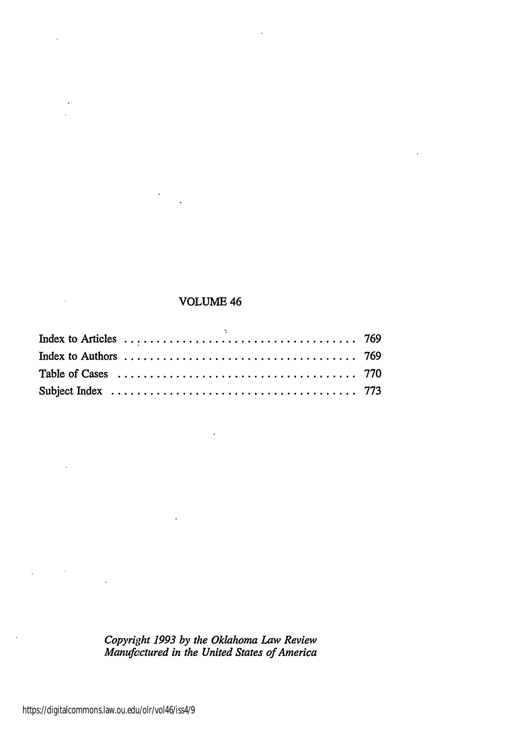## VOLUME 46

*Copyright 1993 by the Oklahoma Law Review Manufoctured in the United States of America*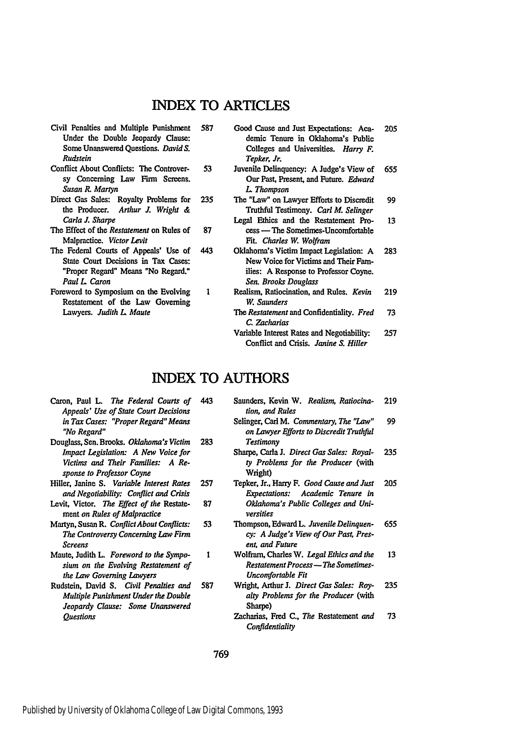# INDEX TO ARTICLES

- Civil Penalties and Multiple Punishment 587 Under the Double Jeopardy Clause: Some Unanswered Questions. *DavidS. Rudstein*
- Conflict About Conflicts: The Controver-53 sy Concerning Law Firm Screens. *Susan R. Martyn*
- Direct Gas Sales: Royalty Problems for 235 the Producer. *Arthur J. Wright & Carla J. Sharpe*
- 87 The Effect of the *Restatement* on Rules of Malpractice. *Victor Levit*
- The Federal Courts of Appeals' Use of 443 State Court Decisions in Tax Cases: "Proper Regard" Means "No Regard." *Paul L Caron*
- Foreword to Symposium on the Evolving Restatement of the Law Governing Lawyers. *Judith L Maute*
- Good Cause and Just Expectations: Aca-205 demic Tenure in Oklahoma's Public Colleges and Universities. *Harry F. Tepker, Jr.*
- Juvenile Delinquency: **A** Judge's View of 655 Our Past, Present, and Future. *Edward L Thompson*
- The "Law" on Lawyer Efforts to Discredit 99 Truthful Testimony. *Carl M. Selinger*
- Legal Ethics and the Restatement Pro-13 cess **-** The Sometimes-Uncomfortable *Fit. Charles W, Wolfram*
- Oklahoma's Victim Impact Legislation: A 283 New Voice for Victims and Their Families: **A** Response to Professor Coyne. *Sen. Brooks Douglass*
- Realism, Ratiocination, and Rules. *Kevin* 219 *W, Saunders The Restatement* and Confidentiality. *Fred* 73
	- *C. Zacharias*
	- Variable Interest Rates and Negotiability: 257 Conflict and Crisis. *Janine S. Hiller*

## **INDEX** TO AUTHORS

 $\mathbf{1}$ 

- Caron, Paul L. *The Federal Courts of* 443 *Appeals' Use of State Court Decisions in Tax Cases: "Proper Regard" Means "No Regard"*
- Douglass, Sen. Brooks. *Oklahoma's Victim* 283 *Impact Legislation: A New Voice for Victims and Their Families: A Response to Professor Coyne*
- Hiller, Janine *S. Variable Interest Rates* 257 *and Negotiability: Conflict and Crisis* 87
- Levit, Victor. *The Effect of the* Restatement *on Rules of Malpractice*
- Martyn, Susan R. *ConflictAbout Conflicts:* 53 *The Controversy Concerning Law Firm Screens*
- Maute, Judith L. *Foreword to the Symposium on the Evolving Restatement of the Law Governing Lawyers*
- Rudstein, David *S. Civil Penalties and* 587 *Multiple Punishment Under the Double Jeopardy Clause: Some Unanswered Questions*
- Saunders, Kevin W. *Realism, Ratiocina-*219 *tion, and Rules*
	- 99 Selinger, Carl M. *Commentary, The "Law" on Lawyer Efforts to Discredit Truthful Testimony*
	- Sharpe, Carla J. *Direct Gas Sales: Royal-*235 *ty Problems for the Producer* (with Wright)
	- Tepker, Jr., Harry **F.** *Good Cause and Just* 205 *Expectations: Academic Tenure in Oklahoma's Public Colleges and Universities*
- Thompson, Edward L. *Juvenile Delinquen-*655 *cy: A Judge's View of Our Past, Present, and Future*
- Wolfram, Charles W. *Legal Ethics and the* 13 *Restatement Process - The Sometimes-Uncomfortable Fit*
- Wright, Arthur **J.** *Direct Gas Sales: Roy-*235 *alty Problems for the Producer* (with Sharpe)
- Zacharias, Fred **C.,** *The* Restatement *and* 73 *Confidentiality*

769

 $\mathbf{I}$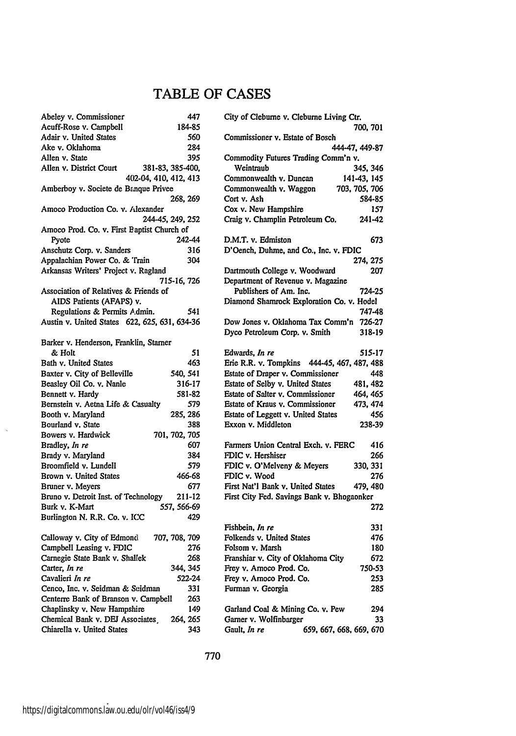# TABLE OF **CASES**

| Abeley v. Commissioner                                 | 447                  |
|--------------------------------------------------------|----------------------|
| Acuff-Rose v. Campbell                                 | 184-85               |
| Adair v. United States                                 | 560                  |
| Ake v. Oklahoma                                        | 284                  |
| Allen v. State                                         | 395                  |
| Allen v. District Court                                | 381-83, 385-400,     |
| 402-04, 410, 412, 413                                  |                      |
| Amberboy v. Societe de Banque Privee                   |                      |
|                                                        | 268, 269             |
| Amoco Production Co. v. Alexander                      |                      |
|                                                        | 244-45, 249, 252     |
| Amoco Prod. Co. v. First Baptist Church of             |                      |
| Pyote                                                  | 242-44               |
| Anschutz Corp. v. Sanders                              | 316                  |
| Appalachian Power Co. & Train                          | 304                  |
| Arkansas Writers' Project v. Ragland                   |                      |
|                                                        | 715-16, 726          |
| Association of Relatives & Friends of                  |                      |
| AIDS Patients (AFAPS) v.                               |                      |
| Regulations & Permits Admin.                           | 541                  |
| Austin v. United States 622, 625, 631, 634-36          |                      |
|                                                        |                      |
| Barker v. Henderson, Franklin, Starner                 |                      |
| & Holt                                                 | 51                   |
| Bath v. United States                                  | 463                  |
| Baxter v. City of Belleville                           | 540, 541             |
| Beasley Oil Co. v. Nanle                               | 316-17               |
|                                                        | 581-82               |
| Bennett v. Hardy<br>Bernstein v. Aetna Life & Casualty | 579                  |
|                                                        |                      |
| Booth v. Maryland<br>Bourland v. State                 | 285, 286<br>388      |
|                                                        |                      |
| Bowers v. Hardwick                                     | 701, 702, 705        |
| Bradley, In re<br>Brady v. Maryland                    | 607<br>384           |
|                                                        |                      |
| Broomfield v. Lundell                                  | 579                  |
| Brown v. United States                                 | 466-68               |
| Bruner v. Meyers                                       | 677                  |
| Bruno v. Detroit Inst. of Technology                   | 211-12               |
| Burk v. K-Mart                                         | 557, 566-69          |
| Burlington N. R.R. Co. v. ICC                          | 429                  |
|                                                        |                      |
| Calloway v. City of Edmond                             | 707, 708, 709<br>276 |
| Campbell Leasing v. FDIC                               |                      |
| Carnegie State Bank v. Shallek                         | 268                  |
| Carter, In re                                          | 344, 345             |
| Cavalieri In re                                        | 522-24               |
| Cenco, Inc. v. Seidman & Seidman                       | 331                  |
| Centerre Bank of Branson v. Campbell                   | 263                  |
| Chaplinsky v. New Hampshire                            | 149                  |
| Chemical Bank v. DEJ Associates                        | 264, 265             |
| Chiarella v. United States                             | 343                  |

| City of Cleburne v. Cleburne Living Ctr.                   |  |  |
|------------------------------------------------------------|--|--|
| 700, 701                                                   |  |  |
| Commissioner v. Estate of Bosch                            |  |  |
| 444-47, 449-87<br>Commodity Futures Trading Comm'n v.      |  |  |
| 345, 346<br>Weintraub                                      |  |  |
| Commonwealth v. Duncan<br>141-43, 145                      |  |  |
| Commonwealth v. Waggon<br>703, 705, 706                    |  |  |
| Cort v. Ash<br>584-85                                      |  |  |
| Cox v. New Hampshire<br>157                                |  |  |
| Craig v. Champlin Petroleum Co.<br>241-42                  |  |  |
|                                                            |  |  |
| D.M.T. v. Edmiston<br>673                                  |  |  |
| D'Oench, Duhme, and Co., Inc. v. FDIC                      |  |  |
| 274, 275<br>Dartmouth College v. Woodward<br>207           |  |  |
| Department of Revenue v. Magazine                          |  |  |
| Publishers of Am. Inc.<br>724-25                           |  |  |
| Diamond Shamrock Exploration Co. v. Hodel                  |  |  |
| 747-48                                                     |  |  |
| Dow Jones v. Oklahoma Tax Comm'n<br>726-27                 |  |  |
| Dyco Petroleum Corp. v. Smith<br>318-19                    |  |  |
|                                                            |  |  |
| Edwards, In re<br>515-17                                   |  |  |
| Erie R.R. v. Tompkins 444-45, 467, 487, 488                |  |  |
| Estate of Draper v. Commissioner<br>448                    |  |  |
| Estate of Selby v. United States<br>481, 482               |  |  |
| Estate of Salter v. Commissioner<br>464, 465               |  |  |
| Estate of Kraus v. Commissioner<br>473, 474                |  |  |
| Estate of Leggett v. United States<br>456                  |  |  |
| Exxon v. Middleton<br>238-39                               |  |  |
| Farmers Union Central Exch. v. FERC<br>416                 |  |  |
| FDIC v. Hershiser<br>266                                   |  |  |
| 330, 331<br>FDIC v. O'Melveny & Meyers                     |  |  |
| FDIC v. Wood<br>276                                        |  |  |
| First Nat'l Bank v. United States<br>479, 480              |  |  |
| First City Fed. Savings Bank v. Bhogaonker                 |  |  |
| 272                                                        |  |  |
|                                                            |  |  |
| Fishbein, In re<br>331                                     |  |  |
| Folkends v. United States<br>476<br>Folsom v. Marsh<br>180 |  |  |
| Franshiar v. City of Oklahoma City<br>672                  |  |  |
| Frey v. Amoco Prod. Co.<br>750-53                          |  |  |
| Frey v. Amoco Prod. Co.<br>253                             |  |  |
| Furman v. Georgia<br>285                                   |  |  |
|                                                            |  |  |
| Garland Coal & Mining Co. v. Pew<br>294                    |  |  |
| Garner v. Wolfinbarger<br>33                               |  |  |
| 659, 667, 668, 669, 670<br>Gault, In re                    |  |  |
|                                                            |  |  |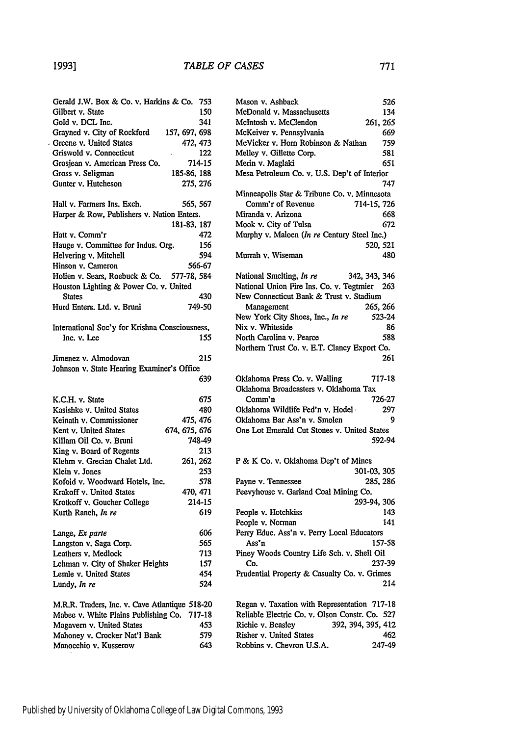$\cdot$ 

| Gerald J.W. Box & Co. v. Harkins & Co.                           | 753           |
|------------------------------------------------------------------|---------------|
| Gilbert v. State                                                 | 150           |
| Gold v. DCL Inc.                                                 | 341           |
| Grayned v. City of Rockford                                      | 157, 697, 698 |
| Greene v. United States                                          | 472, 473      |
| Griswold v. Connecticut                                          | 122           |
| Grosjean v. American Press Co.                                   | 714-15        |
| Gross v. Seligman                                                | 185-86, 188   |
| Gunter v. Hutcheson                                              | 275, 276      |
| Hall v. Farmers Ins. Exch.                                       | 565, 567      |
| Harper & Row, Publishers v. Nation Enters.                       |               |
|                                                                  | 181-83, 187   |
| Hatt v. Comm'r                                                   | 472           |
| Hauge v. Committee for Indus. Org.                               | 156           |
| Helvering v. Mitchell                                            | 594           |
| Hinson v. Cameron                                                | 566-67        |
| Holien v. Sears, Roebuck & Co. 577-78, 584                       |               |
| Houston Lighting & Power Co. v. United                           |               |
| <b>States</b>                                                    | 430           |
| Hurd Enters, Ltd. v. Bruni                                       | 749-50        |
|                                                                  |               |
| International Soc'y for Krishna Consciousness,<br>Inc. v. Lee    | 155           |
|                                                                  |               |
| Jimenez v. Almodovan                                             | 215           |
| Johnson v. State Hearing Examiner's Office                       |               |
|                                                                  | 639           |
| K.C.H. v. State                                                  | 675           |
| Kasishke v. United States                                        | 480           |
| Keinath v. Commissioner                                          |               |
|                                                                  | 475, 476      |
|                                                                  |               |
| Kent v. United States                                            | 674, 675, 676 |
| Killam Oil Co. v. Bruni                                          | 748-49        |
| King v. Board of Regents                                         | 213           |
| Klehm v. Grecian Chalet Ltd.                                     | 261, 262      |
| Klein v. Jones                                                   | 253           |
| Kofoid v. Woodward Hotels, Inc.                                  | 578           |
| Krakoff v. United States                                         | 470, 471      |
| Krotkoff v. Goucher College                                      | 214-15        |
| Kurth Ranch, In re                                               | 619           |
|                                                                  | 606           |
|                                                                  | 565           |
| Lange, Ex parte<br>Langston v. Saga Corp.<br>Leathers v. Medlock | 713           |
|                                                                  | 157           |
| Lehman v. City of Shaker Heights                                 |               |
| Lemle v. United States<br>Lundy, In re                           | 454<br>524    |
|                                                                  |               |
| M.R.R. Traders, Inc. v. Cave Atlantique 518-20                   |               |
| Mabee v. White Plains Publishing Co.                             | 717-18        |
| Magavern v. United States                                        | 453           |
| Mahoney v. Crocker Nat'l Bank<br>Manocchio v. Kusserow           | 579<br>643    |

| 753  | Mason v. Ashback                               | 526                |
|------|------------------------------------------------|--------------------|
| 150  | McDonald v. Massachusetts                      | 134                |
| 341  | McIntosh v. McClendon                          | 261, 265           |
| 698  | McKeiver v. Pennsylvania                       | 669                |
| 473  | McVicker v. Horn Robinson & Nathan             | 759                |
| 122  | Melley v. Gillette Corp.                       | 581                |
| 4-15 | Merin v. Maglaki                               | 651                |
| 188  | Mesa Petroleum Co. v. U.S. Dep't of Interior   |                    |
| 276  |                                                | 747                |
|      | Minneapolis Star & Tribune Co. v. Minnesota    |                    |
| 567  | Comm'r of Revenue                              | 714-15, 726        |
| ŝ.   | Miranda v. Arizona                             | 668                |
| 187  | Mook v. City of Tulsa                          | 672                |
| 472  | Murphy v. Maloen (In re Century Steel Inc.)    |                    |
| 156  |                                                | 520, 521           |
| 594  | Murrah v. Wiseman                              | 480                |
| 6-67 |                                                |                    |
| 584  | National Smelting, In re                       | 342, 343, 346      |
|      | National Union Fire Ins. Co. v. Tegtmier 263   |                    |
| 430  | New Connecticut Bank & Trust v. Stadium        |                    |
| 9-50 | Management                                     | 265, 266           |
|      | New York City Shoes, Inc., In re               | 523-24             |
|      | Nix v. Whiteside                               | 86                 |
| ess, | North Carolina v. Pearce                       |                    |
| 155  |                                                | 588                |
|      | Northern Trust Co. v. E.T. Clancy Export Co.   |                    |
| 215  |                                                | 261                |
| e    |                                                |                    |
| 639  | Oklahoma Press Co. v. Walling                  | 717-18             |
|      | Oklahoma Broadcasters v. Oklahoma Tax          |                    |
| 675  | Comm'n                                         | 726-27             |
| 480  | Oklahoma Wildlife Fed'n v. Hodel -             | 297                |
| 476  | Oklahoma Bar Ass'n v. Smolen                   | 9                  |
| 676  | One Lot Emerald Cut Stones v. United States    |                    |
| 8-49 |                                                | 592-94             |
| 213  |                                                |                    |
| 262  | P & K Co. v. Oklahoma Dep't of Mines           |                    |
| 253  |                                                | 301-03, 305        |
| 578  | Payne v. Tennessee                             | 285, 286           |
| 471  | Peevyhouse v. Garland Coal Mining Co.          |                    |
| 4-15 |                                                | 293-94, 306        |
| 619  | People v. Hotchkiss                            | 143                |
|      | People v. Norman                               | 141                |
| 606  | Perry Educ. Ass'n v. Perry Local Educators     |                    |
| 565  | Ass'n                                          | 157-58             |
| 713  | Piney Woods Country Life Sch. v. Shell Oil     |                    |
| 157  | Co.                                            | 237-39             |
| 454  | Prudential Property & Casualty Co. v. Grimes   |                    |
| 524  |                                                | 214                |
| 8-20 | Regan v. Taxation with Representation 717-18   |                    |
| 7-18 | Reliable Electric Co. v. Olson Constr. Co. 527 |                    |
| 453  | Richie v. Beasley                              | 392, 394, 395, 412 |
| 579  | Risher v. United States                        | 462                |
| 643  | Robbins v. Chevron U.S.A.                      | 247-49             |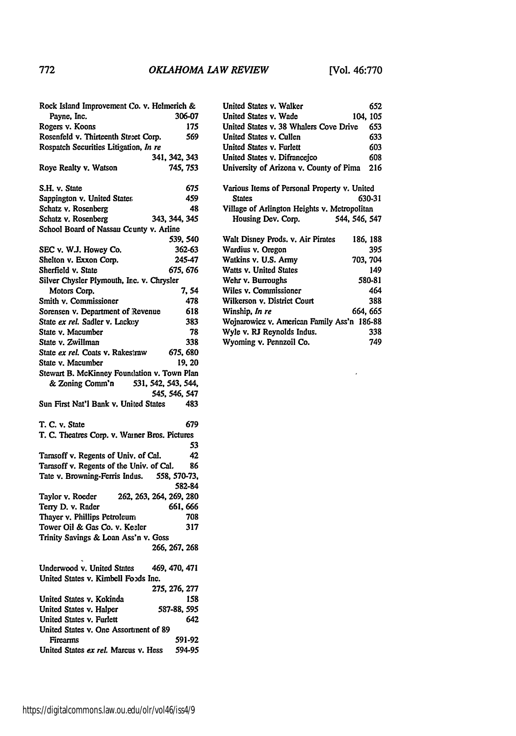$\mathcal{A}$ 

| Rock Island Improvement Co. v. Helmerich &              |                   |
|---------------------------------------------------------|-------------------|
| Payne, Inc.                                             | 306-07            |
| Rogers v. Koons                                         | 175               |
| Rosenfeld v. Thirteenth Stneet Corp.                    | 569               |
| Rospatch Securities Litigation, In re                   |                   |
|                                                         | 341, 342, 343     |
| Roye Realty v. Watson                                   | 745, 753          |
| S.H. v. State                                           | 675               |
| Sappington v. United States                             | 459               |
| Schatz v. Rosenberg                                     | 48                |
| Schatz v. Rosenberg                                     | 343, 344, 345     |
| School Board of Nassau County v. Arline                 |                   |
|                                                         | 539, 540          |
| SEC v. W.J. Howey Co.                                   | 362-63            |
| Shelton v. Exxon Corp.                                  | 245-47            |
| Sherfield v. State                                      | 675. 676          |
| Silver Chysler Plymouth, Inc. v. Chrysler               |                   |
| Motors Corp.                                            | 7, 54             |
| Smith v. Commissioner                                   | 478               |
|                                                         | 618               |
| Sorensen v. Department of Revenue                       |                   |
| State ex rel. Sadler v. Lackey                          | 383               |
| State v. Macumber                                       | 78                |
| State v. Zwillman                                       | 338               |
| State ex rel. Coats v. Rakestraw                        | 675, 680          |
| State v. Macumber                                       | 19.20             |
| Stewart B. McKinney Foundation v. Town Plan             |                   |
| & Zoning Comm'n<br>531, 542, 543, 544,                  |                   |
|                                                         | 545, 546, 547     |
| Sun First Nat'l Bank v. United States                   | 483               |
| T. C. v. State                                          | 679               |
| T. C. Theatres Corp. v. Warner Bros. Pictures           |                   |
|                                                         | 53                |
| Tarasoff v. Regents of Univ. of Cal.                    | 42                |
| Tarasoff v. Regents of the Univ. of Cal.                | 86                |
| Tate v. Browning-Ferris Indus.                          | 558, 570-73,      |
|                                                         | 582-84            |
| 262, 263, 264, 269, 280<br>Taylor v. Roeder             |                   |
| Terry D. v. Rader                                       | 661, 666          |
| Thayer v. Phillips Petroleum                            | 708               |
| Tower Oil & Gas Co. v. Keeler                           |                   |
|                                                         |                   |
|                                                         | 317               |
| Trinity Savings & Loan Ass'n v. Goss                    |                   |
|                                                         | 266, 267, 268     |
| Underwood v. United States                              | 469, 470, 471     |
| United States v. Kimbell Foods Inc.                     |                   |
|                                                         | 275, 276, 277     |
| United States v. Kokinda                                |                   |
|                                                         | 158<br>587-88.595 |
| United States v. Halper                                 |                   |
| United States v. Furlett                                | 642               |
| United States v. One Assortment of 89                   |                   |
| <b>Firearms</b><br>United States ex rel. Marcus v. Hess | 591-92<br>594-95  |

| United States v. Walker                      | 652           |
|----------------------------------------------|---------------|
| United States v. Wade                        | 104, 105      |
| United States v. 38 Whalers Cove Drive       | 653           |
| United States v. Cullen                      | 633           |
| United States v. Furlett                     | 603           |
| United States v. Difrancejco                 | 608           |
| University of Arizona v. County of Pima      | 216           |
|                                              |               |
| Various Items of Personal Property v. United |               |
| <b>States</b>                                | 630-31        |
| Village of Arlington Heights v. Metropolitan |               |
| Housing Dev. Corp.                           | 544, 546, 547 |
| Walt Disney Prods. v. Air Pirates            | 186.188       |
| Wardius v. Oregon                            | 395           |
| Watkins v. U.S. Army                         | 703, 704      |
| Watts v. United States                       | 149           |
| Wehr v. Burroughs                            | 580-81        |
| Wiles v. Commissioner                        | 464           |
| Wilkerson v. District Court                  | 388           |
| Winship, <i>In re</i>                        | 664, 665      |
| Wojnarowicz v. American Family Ass'n 186-88  |               |
| Wyle v. RJ Reynolds Indus.                   | 338           |
| Wyoming v. Pennzoil Co.                      | 749           |
|                                              |               |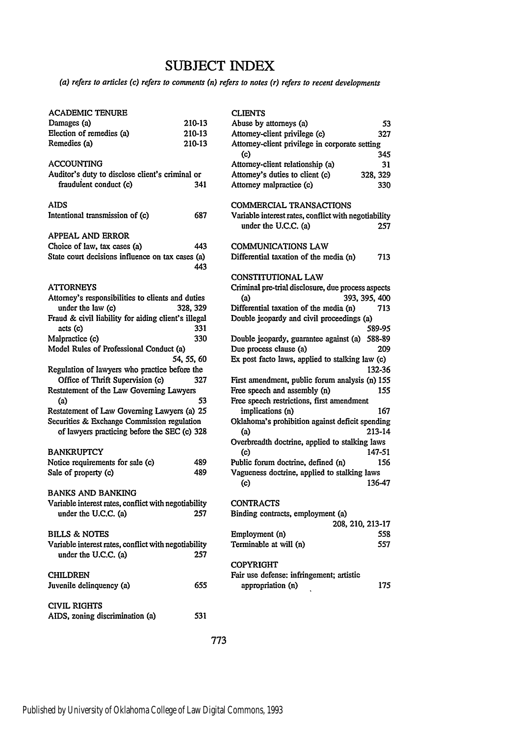# **SUBJECT INDEX**

*(a) refers to articles* (c) *refers to comments (n) refers to notes (r) refers to recent developments*

| <b>ACADEMIC TENURE</b>                                          |            | C)             |
|-----------------------------------------------------------------|------------|----------------|
| Damages (a)                                                     | 210-13     | Al             |
| Election of remedies (a)                                        | 210-13     | A۱             |
| Remedies (a)                                                    | 210-13     | A1             |
| <b>ACCOUNTING</b>                                               |            | A              |
| Auditor's duty to disclose client's criminal or                 |            | A۱             |
| fraudulent conduct (c)                                          | 341        | A۱             |
| AIDS                                                            |            | $\mathbf{C}$   |
| Intentional transmission of (c)                                 | 687        | v,             |
| <b>APPEAL AND ERROR</b>                                         |            |                |
| Choice of law, tax cases (a)                                    | 443        | C)             |
| State court decisions influence on tax cases (a)                |            | Di             |
|                                                                 | 443        |                |
| <b>ATTORNEYS</b>                                                |            | $\alpha$<br>Cı |
| Attorney's responsibilities to clients and duties               |            |                |
| under the law (c)                                               | 328, 329   | Di             |
| Fraud & civil liability for aiding client's illegal<br>acts (c) | 331        | D٥             |
| Malpractice (c)                                                 | 330        | D٥             |
| Model Rules of Professional Conduct (a)                         |            | Dı             |
|                                                                 | 54, 55, 60 | ь              |
| Regulation of lawyers who practice before the                   |            |                |
| Office of Thrift Supervision (c)                                | 327        | Fi             |
| Restatement of the Law Governing Lawyers                        |            | Fr             |
| (a)                                                             | 53         | Fr             |
| Restatement of Law Governing Lawyers (a) 25                     |            |                |
| Securities & Exchange Commission regulation                     |            | Ol             |
| of lawyers practicing before the SEC (c) 328                    |            |                |
|                                                                 |            | O۱             |
| <b>BANKRUPTCY</b>                                               |            |                |
| Notice requirements for sale (c)                                | 489<br>489 | Pu             |
| Sale of property (c)                                            |            | V:             |
| <b>BANKS AND BANKING</b>                                        |            |                |
| Variable interest rates, conflict with negotiability            |            | C(             |
| under the U.C.C. (a)                                            | 257        | Bi             |
| <b>BILLS &amp; NOTES</b>                                        |            | Er             |
| Variable interest rates, conflict with negotiability            |            | Te             |
| under the U.C.C. (a)                                            | 257        |                |
|                                                                 |            | C(             |
| <b>CHILDREN</b>                                                 |            | Fa             |
| Juvenile delinquency (a)                                        | 655        |                |
| <b>CIVIL RIGHTS</b>                                             |            |                |
| AIDS, zoning discrimination (a)                                 | 531        |                |
|                                                                 |            |                |

| <b>CLIENTS</b>                                       |          |
|------------------------------------------------------|----------|
| Abuse by attorneys (a)                               | 53       |
| Attorney-client privilege (c)                        | 327      |
| Attorney-client privilege in corporate setting       |          |
| (c)                                                  | 345      |
| Attorney-client relationship (a)                     | 31       |
| Attorney's duties to client (c)                      | 328, 329 |
| Attorney malpractice (c)                             | 330      |
|                                                      |          |
| COMMERCIAL TRANSACTIONS                              |          |
| Variable interest rates, conflict with negotiability |          |
| under the U.C.C. (a)                                 | 257      |
|                                                      |          |
| COMMUNICATIONS LAW                                   |          |
| Differential taxation of the media (n)               | 713      |
|                                                      |          |
| <b>CONSTITUTIONAL LAW</b>                            |          |
| Criminal pre-trial disclosure, due process aspects   |          |
| 393, 395, 400<br>(a)                                 |          |
| Differential taxation of the media (n)               | 713      |
| Double jeopardy and civil proceedings (a)            |          |
|                                                      | 589-95   |
| Double jeopardy, guarantee against (a)               | 588-89   |
| Due process clause (a)                               | 209      |
| Ex post facto laws, applied to stalking law (c)      |          |
|                                                      | 132-36   |
| First amendment, public forum analysis (n) 155       |          |
| Free speech and assembly (n)                         | 155      |
| Free speech restrictions, first amendment            |          |
| implications (n)                                     | 167      |
| Oklahoma's prohibition against deficit spending      |          |
| (a)                                                  | 213-14   |
| Overbreadth doctrine, applied to stalking laws       |          |
| (c)                                                  | 147-51   |
| Public forum doctrine, defined (n)                   | 156      |
|                                                      |          |
| Vagueness doctrine, applied to stalking laws<br>(c)  | 136-47   |
|                                                      |          |
|                                                      |          |
| CONTRACTS<br>Binding contracts, employment (a)       |          |
|                                                      |          |
| 208, 210, 213-17                                     |          |
| Employment (n)                                       | 558      |
| Terminable at will (n)                               | 557      |
|                                                      |          |
| <b>COPYRIGHT</b>                                     |          |
| Fair use defense: infringement; artistic             |          |
| appropriation (n)                                    | 175      |
|                                                      |          |
|                                                      |          |

773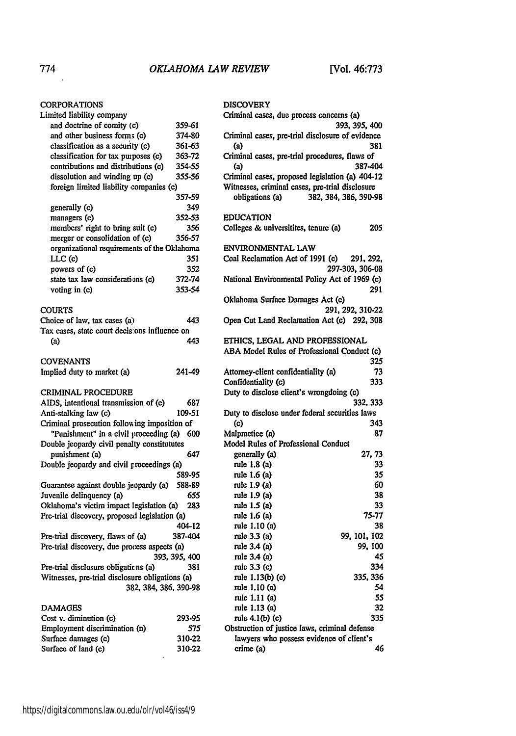## **CORPORATIONS**

| Limited liability company                                                     |               |
|-------------------------------------------------------------------------------|---------------|
| and doctrine of comity (c)                                                    | 359-61        |
| and other business forms (c)                                                  | 374-80        |
| classification as a security (c)                                              | 361-63        |
| classification for tax purposes (c)                                           | 363-72        |
| contributions and distributions (c)                                           | 354-55        |
| dissolution and winding up (c)                                                | 355-56        |
| foreign limited liability companies (c)                                       |               |
|                                                                               | 357-59        |
| generally (c)                                                                 | 349           |
| managers (c)                                                                  | 352-53        |
| members' right to bring suit (c)                                              | 356           |
|                                                                               | 356-57        |
| merger or consolidation of (c)<br>organizational requirements of the Oklahoma |               |
|                                                                               |               |
| LLC (c)                                                                       | 351           |
| powers of (c)                                                                 | 352           |
| state tax law considerations (c)                                              | 372-74        |
| voting in (c)                                                                 | 353-54        |
|                                                                               |               |
| COURTS                                                                        |               |
| Choice of law, tax cases (a)                                                  | 443           |
| Tax cases, state court decisions influence on                                 |               |
| (a)                                                                           | 443           |
|                                                                               |               |
| <b>COVENANTS</b>                                                              |               |
| Implied duty to market (a)                                                    | 241-49        |
|                                                                               |               |
| <b>CRIMINAL PROCEDURE</b>                                                     |               |
| AIDS, intentional transmission of (c)                                         | 687           |
| Anti-stalking law (c)                                                         | 109-51        |
| Criminal prosecution following imposition of                                  |               |
| "Punishment" in a civil proceeding (a)                                        | 600           |
| Double jeopardy civil penalty constitututes                                   |               |
| punishment (a)                                                                | 647           |
| Double jeopardy and civil proceedings (a)                                     |               |
|                                                                               | 589-95        |
| Guarantee against double jeopardy (a)                                         | 588-89        |
| Juvenile delinquency (a)                                                      | 655           |
| Oklahoma's victim impact legislation (a)                                      | 283           |
| Pre-trial discovery, proposed legislation (a)                                 |               |
|                                                                               | 404-12        |
| Pre-trial discovery, flaws of (a)                                             | 387-404       |
| Pre-trial discovery, due process aspects (a)                                  |               |
|                                                                               | 393, 395, 400 |
| Pre-trial disclosure obligations (a)                                          | 381           |
| Witnesses, pre-trial disclosure obligations (a)                               |               |
| 382, 384, 386, 390-98                                                         |               |
|                                                                               |               |
| <b>DAMAGES</b>                                                                |               |
| Cost v. diminution (c)                                                        | 293-95        |
| Employment discrimination (n)                                                 | 575           |
| Surface damages (c)                                                           | 310-22        |

| <b>DISCOVERY</b>                                           |
|------------------------------------------------------------|
| Criminal cases, due process concerns (a)                   |
| 393, 395, 400                                              |
| Criminal cases, pre-trial disclosure of evidence           |
| 381<br>(a)                                                 |
| Criminal cases, pre-trial procedures, flaws of             |
| 387-404<br>$\left( a\right)$                               |
| Criminal cases, proposed legislation (a) 404-12            |
| Witnesses, criminal cases, pre-trial disclosure            |
| 382, 384, 386, 390-98<br>obligations (a)                   |
|                                                            |
| <b>EDUCATION</b>                                           |
| 205<br>Colleges & universitites, tenure (a)                |
| ENVIRONMENTAL LAW                                          |
| Coal Reclamation Act of 1991 (c) 291, 292,                 |
| 297-303, 306-08                                            |
| National Environmental Policy Act of 1969 (c)              |
| 291                                                        |
| Oklahoma Surface Damages Act (c)                           |
| 291, 292, 310-22                                           |
| Open Cut Land Reclamation Act (c) 292, 308                 |
|                                                            |
| ETHICS, LEGAL AND PROFESSIONAL                             |
| ABA Model Rules of Professional Conduct (c)                |
| 325                                                        |
| Attorney-client confidentiality (a)<br>73                  |
| Confidentiality (c)<br>333                                 |
| Duty to disclose client's wrongdoing (c)                   |
| 332, 333<br>Duty to disclose under federal securities laws |
| 343<br>(c)                                                 |
| Malpractice (a)<br>87                                      |
| Model Rules of Professional Conduct                        |
| generally (a)<br>27, 73                                    |
| rule 1.8 (a)<br>33                                         |
| rule 1.6 (a)<br>35                                         |
| rule 1.9 (a)<br>60                                         |
| rule 1.9 (a)<br>38                                         |
| rule 1.5 (a)<br>33                                         |
| rule 1.6 (a)<br>75-77                                      |
| rule 1.10 (a)<br>38                                        |
| rule 3.3 (a)<br>99, 101, 102                               |
| rule 3.4 (a)<br>99, 100                                    |
| rule 3.4 (a)<br>45                                         |
| rule 3.3 (c)<br>334                                        |
| rule 1.13(b) (c)<br>335, 336                               |
| 54<br>rule 1.10 (a)<br>55                                  |
| rule 1.11 (a)<br>rule 1.13 (a)<br>32                       |
| rule 4.1(b) (c)<br>335                                     |
| Obstruction of justice laws, criminal defense              |
| lawyers who possess evidence of client's                   |
| crime (a)<br>46                                            |
|                                                            |

 $\ddot{\phantom{a}}$ 

Surface of land (c) 310-22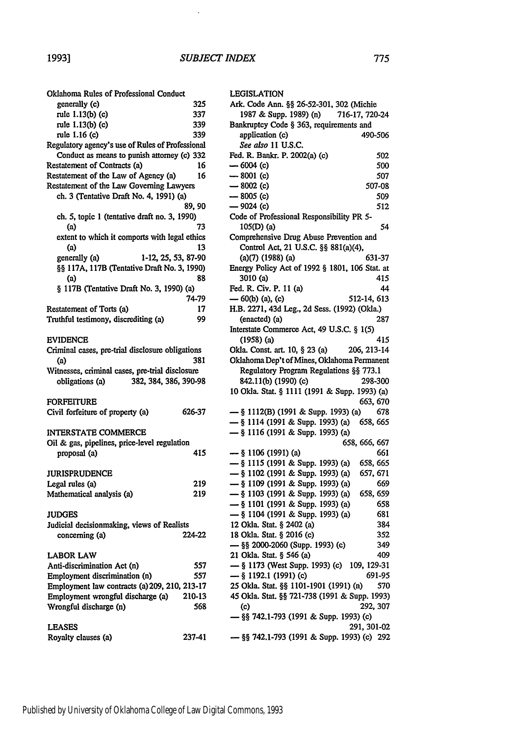$\hat{\mathbf{v}}$ 

| Oklahoma Rules of Professional Conduct                                              |        |
|-------------------------------------------------------------------------------------|--------|
| generally (c)                                                                       | 325    |
| rule 1.13(b) (c)                                                                    | 337    |
| rule 1.13(b) (c)                                                                    | 339    |
| rule 1.16 (c)                                                                       | 339    |
| Regulatory agency's use of Rules of Professional                                    |        |
| Conduct as means to punish attorney (c) 332                                         |        |
| Restatement of Contracts (a)                                                        | 16     |
| Restatement of the Law of Agency (a)                                                | 16     |
| Restatement of the Law Governing Lawyers<br>ch. 3 (Tentative Draft No. 4, 1991) (a) |        |
|                                                                                     | 89, 90 |
| ch. 5, topic 1 (tentative draft no. 3, 1990)                                        |        |
| (a)                                                                                 | 73     |
| extent to which it comports with legal ethics                                       |        |
| (a)                                                                                 | 13     |
| 1-12, 25, 53, 87-90<br>generally (a)                                                |        |
| §§ 117A, 117B (Tentative Draft No. 3, 1990)                                         |        |
| (a)                                                                                 | 88     |
| § 117B (Tentative Draft No. 3, 1990) (a)                                            |        |
|                                                                                     | 74-79  |
| Restatement of Torts (a)                                                            | 17     |
| Truthful testimony, discrediting (a)                                                | 99     |
|                                                                                     |        |
| <b>EVIDENCE</b>                                                                     |        |
| Criminal cases, pre-trial disclosure obligations                                    |        |
| (a)                                                                                 | 381    |
| Witnesses, criminal cases, pre-trial disclosure                                     |        |
| 382, 384, 386, 390-98<br>obligations (a)                                            |        |
|                                                                                     |        |
| FORFEITURE<br>Civil forfeiture of property (a)                                      | 626-37 |
|                                                                                     |        |
| <b>INTERSTATE COMMERCE</b>                                                          |        |
| Oil & gas, pipelines, price-level regulation                                        |        |
| proposal (a)                                                                        | 415    |
|                                                                                     |        |
| <b>JURISPRUDENCE</b>                                                                |        |
| Legal rules (a)                                                                     | 219    |
| Mathematical analysis (a)                                                           | 219    |
|                                                                                     |        |
| <b>JUDGES</b>                                                                       |        |
| Judicial decisionmaking, views of Realists                                          |        |
| concerning (a)                                                                      | 224-22 |
|                                                                                     |        |
| <b>LABOR LAW</b>                                                                    |        |
| Anti-discrimination Act (n)                                                         | 557    |
| Employment discrimination (n)                                                       | 557    |
| Employment law contracts (a) 209, 210, 213-17<br>Employment wrongful discharge (a)  | 210-13 |
| Wrongful discharge (n)                                                              | 568    |
|                                                                                     |        |
| <b>LEASES</b>                                                                       |        |
| Royalty clauses (a)                                                                 | 237-41 |
|                                                                                     |        |

| <b>LEGISLATION</b><br>Ark. Code Ann. §§ 26-52-301, 302 (Michie<br>1987 & Supp. 1989) (n) 716-17, 720-24<br>Bankruptcy Code § 363, requirements and |
|----------------------------------------------------------------------------------------------------------------------------------------------------|
|                                                                                                                                                    |
|                                                                                                                                                    |
|                                                                                                                                                    |
| application (c)                                                                                                                                    |
| 490-506                                                                                                                                            |
| See also 11 U.S.C.                                                                                                                                 |
| Fed. R. Bankr. P. 2002(a) (c)<br>502                                                                                                               |
| $-6004(c)$<br>500                                                                                                                                  |
| $-8001$ (c)<br>507                                                                                                                                 |
| $-8002(c)$<br>507-08                                                                                                                               |
| $-8005(c)$<br>509                                                                                                                                  |
| $-9024(c)$<br>512                                                                                                                                  |
| Code of Professional Responsibility PR 5-                                                                                                          |
| 105(D) (a)<br>54                                                                                                                                   |
| Comprehensive Drug Abuse Prevention and                                                                                                            |
| Control Act, 21 U.S.C. §§ 881(a)(4),                                                                                                               |
| $(a)(7)$ (1988) (a)<br>631-37                                                                                                                      |
| Energy Policy Act of 1992 § 1801, 106 Stat. at                                                                                                     |
| 3010 (a)<br>415                                                                                                                                    |
| Fed. R. Civ. P. 11 (a)<br>44                                                                                                                       |
|                                                                                                                                                    |
| — 60(b) (a), (c)<br>512-14, 613                                                                                                                    |
| H.B. 2271, 43d Leg., 2d Sess. (1992) (Okla.)                                                                                                       |
| (enacted) (a)<br>287                                                                                                                               |
| Interstate Commerce Act, 49 U.S.C. § 1(5)                                                                                                          |
| $(1958)$ (a)<br>415                                                                                                                                |
| Okla. Const. art. 10, § 23 (a)<br>206, 213-14                                                                                                      |
|                                                                                                                                                    |
| Oklahoma Dep't of Mines, Oklahoma Permanent                                                                                                        |
| Regulatory Program Regulations §§ 773.1                                                                                                            |
| 842.11(b) (1990) (c)<br>298-300                                                                                                                    |
| 10 Okla. Stat. § 1111 (1991 & Supp. 1993) (a)                                                                                                      |
| 663, 670                                                                                                                                           |
| 678                                                                                                                                                |
| - § 1112(B) (1991 & Supp. 1993) (a)                                                                                                                |
| - § 1114 (1991 & Supp. 1993) (a)<br>658, 665                                                                                                       |
| - § 1116 (1991 & Supp. 1993) (a)                                                                                                                   |
| 658, 666, 667                                                                                                                                      |
| $-$ § 1106 (1991) (a)<br>661                                                                                                                       |
| - § 1115 (1991 & Supp. 1993) (a)<br>658, 665                                                                                                       |
| $-$ § 1102 (1991 & Supp. 1993) (a)<br>657, 671                                                                                                     |
| - § 1109 (1991 & Supp. 1993) (a)<br>669                                                                                                            |
| - § 1103 (1991 & Supp. 1993) (a)<br>658, 659                                                                                                       |
| - § 1101 (1991 & Supp. 1993) (a)<br>658                                                                                                            |
| - § 1104 (1991 & Supp. 1993) (a)<br>681                                                                                                            |
| 12 Okla. Stat. § 2402 (a)<br>384                                                                                                                   |
| 18 Okla. Stat. § 2016 (c)<br>352                                                                                                                   |
| - §§ 2000-2060 (Supp. 1993) (c)<br>349                                                                                                             |
| 21 Okla. Stat. § 546 (a)<br>409                                                                                                                    |
| - § 1173 (West Supp. 1993) (c) 109, 129-31                                                                                                         |
| $-$ § 1192.1 (1991) (c)<br>691-95                                                                                                                  |
| 25 Okla. Stat. §§ 1101-1901 (1991) (n)<br>570                                                                                                      |
| 45 Okla. Stat. §§ 721-738 (1991 & Supp. 1993)                                                                                                      |
| 292, 307<br>$\rm(c)$                                                                                                                               |
|                                                                                                                                                    |
| - §§ 742.1-793 (1991 & Supp. 1993) (c)<br>291, 301-02                                                                                              |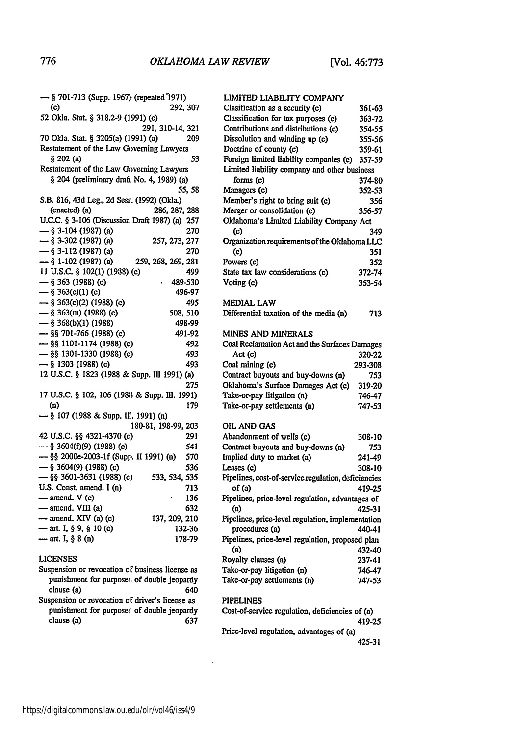| - § 701-713 (Supp. 1967) (repeated 1971)       |                     |
|------------------------------------------------|---------------------|
| (c)                                            | 292, 307            |
| 52 Okla. Stat. § 318.2-9 (1991) (c)            |                     |
|                                                | 291, 310-14, 321    |
| 70 Okla. Stat. § 3205(a) (1991) (a)            | 209                 |
| Restatement of the Law Governing Lawyers       |                     |
| § 202 (a)                                      | 53                  |
| Restatement of the Law Governing Lawyers       |                     |
| § 204 (preliminary draft No. 4, 1989) (a)      |                     |
|                                                | 55, 58              |
| S.B. 816, 43d Leg., 2d Sess. (1992) (Okla.)    |                     |
| (enacted) (a)                                  | 286, 287, 288       |
| U.C.C. § 3-106 (Discussion Draft 1987) (a) 257 |                     |
| $-$ § 3-104 (1987) (a)                         | 270                 |
| $-$ § 3-302 (1987) (a)                         | 257, 273, 277       |
| $-$ § 3-112 (1987) (a)                         | 270                 |
| $-$ § 1-102 (1987) (a)                         | 259, 268, 269, 281  |
| 11 U.S.C. § 102(1) (1988) (c)                  | 499                 |
| $-$ § 363 (1988) (c)                           | 489-530             |
| $-$ § 363(c)(1) (c)                            | 496-97              |
| $-$ § 363(c)(2) (1988) (c)                     | 495                 |
| $-$ § 363(m) (1988) (c)                        | 508, 510            |
| $-$ § 368(b)(1) (1988)                         | 498-99              |
| $-$ §§ 701-766 (1988) (c)                      | 491-92              |
| - §§ 1101-1174 (1988) (c)                      | 492                 |
| $-$ §§ 1301-1330 (1988) (c)                    | 493                 |
| $-$ § 1303 (1988) (c)                          | 493                 |
| 12 U.S.C. § 1823 (1988 & Supp. Ill 1991) (a)   |                     |
|                                                | 275                 |
| 17 U.S.C. § 102, 106 (1988 & Supp. Ill. 1991)  |                     |
| (n)                                            | 179                 |
| $-$ § 107 (1988 & Supp. Ill. 1991) (n)         |                     |
|                                                | 180-81, 198-99, 203 |
| 42 U.S.C. §§ 4321-4370 (c)                     | 291                 |
| -6 3604(f)(9) (1988) (c)                       | 541                 |
| - §§ 2000e-2003-1f (Supp. II 1991) (n)         | 570                 |
| $-$ § 3604(9) (1988) (c)                       | 536                 |
| $-$ §§ 3601-3631 (1988) (c)                    | 533, 534, 535       |
| U.S. Const. amend. I (n)                       | 713                 |
| - amend. V (c)                                 | 136                 |
| - amend. VIII (a)                              | 632                 |
| $-$ amend. XIV (a) (c)                         | 137, 209, 210       |
| - art. I, § 9, § 10 (c)                        | 132-36              |
| - art. I, § 8 (n)                              | 178-79              |

## **LICENSES**

Suspension or revocation of business license as punishment for purposes of double jeopardy clause (a) 640

Suspension or revocation of driver's license as punishment for purposes of double jeopardy clause (a) **637**

| LIMITED LIABILITY COMPANY |
|---------------------------|
|                           |

| Clasification as a security (c)               | 361-63 |
|-----------------------------------------------|--------|
| Classification for tax purposes (c)           | 363-72 |
| Contributions and distributions (c)           | 354-55 |
| Dissolution and winding up (c)                | 355-56 |
| Doctrine of county (c)                        | 359-61 |
| Foreign limited liability companies (c)       | 357-59 |
| Limited liability company and other business  |        |
| forms (c)                                     | 374-80 |
| Managers (c)                                  | 352-53 |
| Member's right to bring suit (c)              | 356    |
| Merger or consolidation (c)                   | 356-57 |
| Oklahoma's Limited Liability Company Act      |        |
| (c)                                           | 349    |
| Organization requirements of the Oklahoma LLC |        |
| (c)                                           | 351    |
| Powers (c)                                    | 352    |
| State tax law considerations (c)              | 372-74 |
| Voting (c)                                    | 353-54 |
|                                               |        |

#### **MEDIAL** LAW

| Differential taxation of the media (n) |  |  |  |  | 713 |
|----------------------------------------|--|--|--|--|-----|
|----------------------------------------|--|--|--|--|-----|

#### **MINES AND MINERALS**

| Coal Reclamation Act and the Surfaces Damages |         |
|-----------------------------------------------|---------|
| Act (c)                                       | 320-22  |
| Coal mining (c)                               | 293-308 |
| Contract buyouts and buy-downs (n)            | 753     |
| Oklahoma's Surface Damages Act (c)            | 319-20  |
| Take-or-pay litigation (n)                    | 746-47  |
| Take-or-pay settlements (n)                   | 747-53  |

### OIL **AND GAS**

| Abandonment of wells (c)                            | 308-10 |
|-----------------------------------------------------|--------|
| Contract buyouts and buy-downs (n)                  | 753    |
| Implied duty to market (a)                          | 241-49 |
| Leases (c)                                          | 308-10 |
| Pipelines, cost-of-service regulation, deficiencies |        |
| of (a)                                              | 419-25 |
| Pipelines, price-level regulation, advantages of    |        |
| (a)                                                 | 425-31 |
| Pipelines, price-level regulation, implementation   |        |
| procedures (a)                                      | 440-41 |
| Pipelines, price-level regulation, proposed plan    |        |
| (a)                                                 | 432-40 |
| Royalty clauses (a)                                 | 237-41 |
| Take-or-pay litigation (n)                          | 746-47 |
| Take-or-pay settlements (n)                         | 747-53 |

#### **PIPELINES**

 $\ddot{\phantom{1}}$ 

Cost-of-service regulation, deficiencies of (a) 419-25 Price-level regulation, advantages of (a)

425-31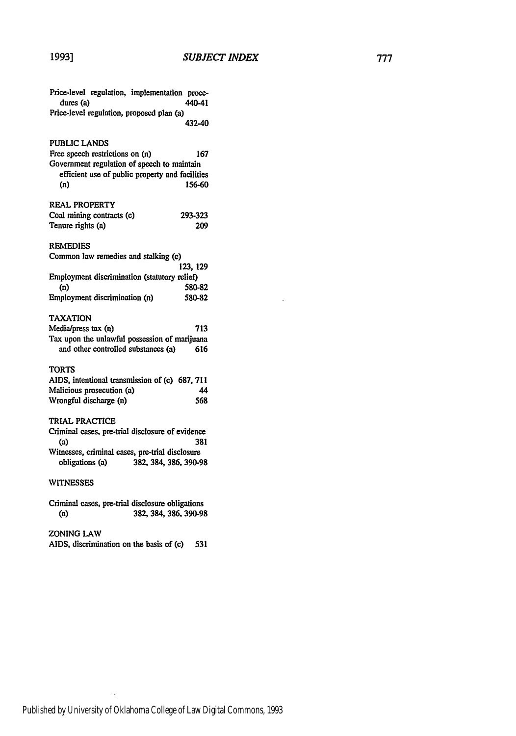l,

| Price-level regulation, implementation proce-<br>dures (a) | 440-41                                          |
|------------------------------------------------------------|-------------------------------------------------|
| Price-level regulation, proposed plan (a)                  |                                                 |
|                                                            | 432-40                                          |
| PUBLIC LANDS                                               |                                                 |
| Free speech restrictions on (n)                            | 167                                             |
| Government regulation of speech to maintain                |                                                 |
|                                                            | efficient use of public property and facilities |
| (n)                                                        | 156-60                                          |
| <b>REAL PROPERTY</b>                                       |                                                 |
| Coal mining contracts (c)                                  | 293-323                                         |
| Tenure rights (a)                                          | 209                                             |
| <b>REMEDIES</b>                                            |                                                 |
| Common law remedies and stalking (c)                       |                                                 |
|                                                            | 123, 129                                        |
| Employment discrimination (statutory relief)               |                                                 |
| (n)                                                        | 580-82                                          |
| Employment discrimination (n)                              | 580-82                                          |
| TAXATION                                                   |                                                 |
| Media/press tax (n)                                        | 713                                             |
| Tax upon the unlawful possession of marijuana              |                                                 |
| and other controlled substances (a)                        | 616                                             |
| <b>TORTS</b>                                               |                                                 |
| AIDS, intentional transmission of (c) 687, 711             |                                                 |
| Malicious prosecution (a)                                  | 44                                              |
| Wrongful discharge (n)                                     | 568                                             |
| TRIAL PRACTICE                                             |                                                 |
| Criminal cases, pre-trial disclosure of evidence<br>(a)    | 381                                             |
| Witnesses, criminal cases, pre-trial disclosure            |                                                 |
| obligations (a)                                            | 382, 384, 386, 390-98                           |
| WITNESSES                                                  |                                                 |
| Criminal cases, pre-trial disclosure obligations           |                                                 |
| (a)                                                        | 382, 384, 386, 390-98                           |

ZONING LAW

 $\bar{\mathcal{A}}_k$ 

**AIDS,** discrimination on the basis of (c) **531**